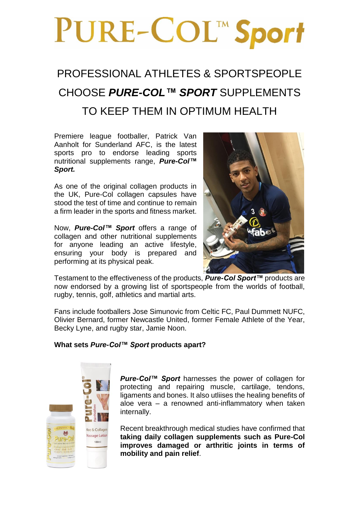# PURE-COL™ Sport

## PROFESSIONAL ATHLETES & SPORTSPEOPLE CHOOSE *PURE-COL™ SPORT* SUPPLEMENTS TO KEEP THEM IN OPTIMUM HEALTH

Premiere league footballer, Patrick Van Aanholt for Sunderland AFC, is the latest sports pro to endorse leading sports nutritional supplements range, *Pure-Col™ Sport.*

As one of the original collagen products in the UK, Pure-Col collagen capsules have stood the test of time and continue to remain a firm leader in the sports and fitness market.

Now, *Pure-Col™ Sport* offers a range of collagen and other nutritional supplements for anyone leading an active lifestyle, ensuring your body is prepared and performing at its physical peak.



Testament to the effectiveness of the products, *Pure-Col Sport™* products are now endorsed by a growing list of sportspeople from the worlds of football, rugby, tennis, golf, athletics and martial arts.

Fans include footballers Jose Simunovic from Celtic FC, Paul Dummett NUFC, Olivier Bernard, former Newcastle United, former Female Athlete of the Year, Becky Lyne, and rugby star, Jamie Noon.

### **What sets** *Pure-Col™ Sport* **products apart?**



*Pure-Col™ Sport* harnesses the power of collagen for protecting and repairing muscle, cartilage, tendons, ligaments and bones. It also utliises the healing benefits of aloe vera – a renowned anti-inflammatory when taken internally.

Recent breakthrough medical studies have confirmed that **taking daily collagen supplements such as Pure-Col improves damaged or arthritic joints in terms of mobility and pain relief**.